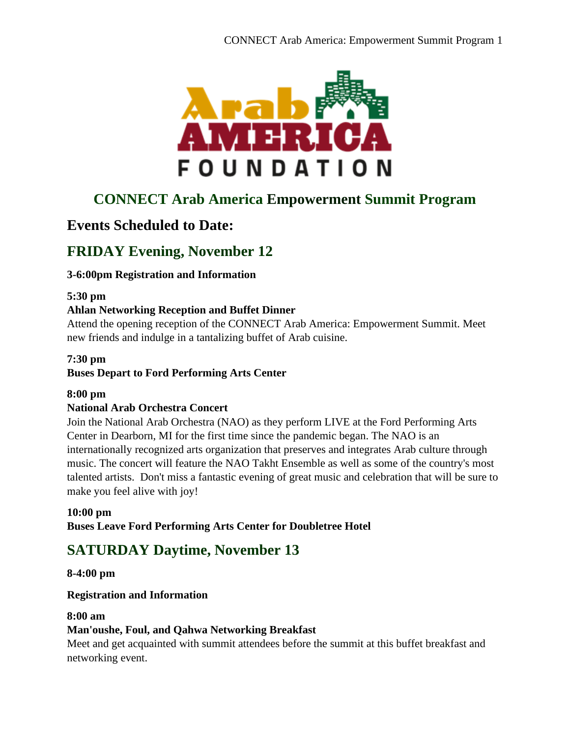

# **CONNECT Arab America Empowerment Summit Program**

## **Events Scheduled to Date:**

# **FRIDAY Evening, November 12**

## **3-6:00pm Registration and Information**

#### **5:30 pm**

#### **Ahlan Networking Reception and Buffet Dinner**

Attend the opening reception of the CONNECT Arab America: Empowerment Summit. Meet new friends and indulge in a tantalizing buffet of Arab cuisine.

#### **7:30 pm**

#### **Buses Depart to Ford Performing Arts Center**

#### **8:00 pm**

#### **National Arab Orchestra Concert**

Join the National Arab Orchestra (NAO) as they perform LIVE at the Ford Performing Arts Center in Dearborn, MI for the first time since the pandemic began. The NAO is an internationally recognized arts organization that preserves and integrates Arab culture through music. The concert will feature the NAO Takht Ensemble as well as some of the country's most talented artists. Don't miss a fantastic evening of great music and celebration that will be sure to make you feel alive with joy!

#### **10:00 pm**

**Buses Leave Ford Performing Arts Center for Doubletree Hotel**

## **SATURDAY Daytime, November 13**

#### **8-4:00 pm**

#### **Registration and Information**

#### **8:00 am**

#### **Man'oushe, Foul, and Qahwa Networking Breakfast**

Meet and get acquainted with summit attendees before the summit at this buffet breakfast and networking event.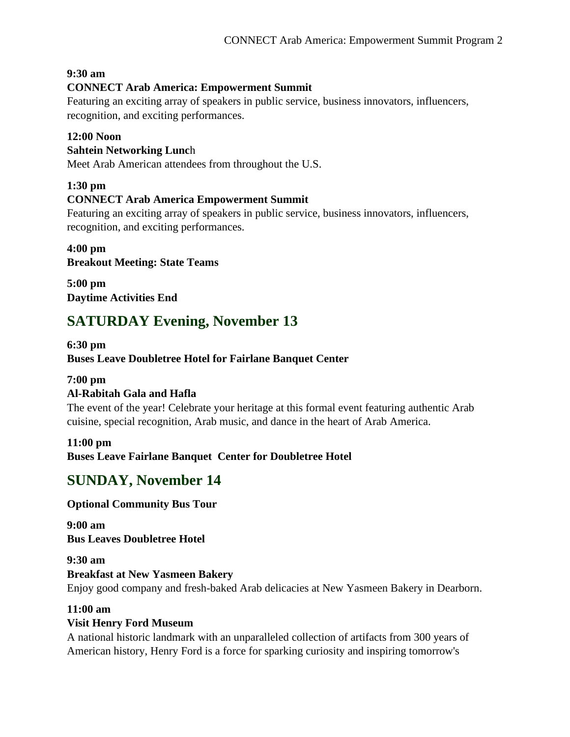## **9:30 am**

## **CONNECT Arab America: Empowerment Summit**

Featuring an exciting array of speakers in public service, business innovators, influencers, recognition, and exciting performances.

#### **12:00 Noon**

#### **Sahtein Networking Lunc**h

Meet Arab American attendees from throughout the U.S.

#### **1:30 pm**

#### **CONNECT Arab America Empowerment Summit**

Featuring an exciting array of speakers in public service, business innovators, influencers, recognition, and exciting performances.

#### **4:00 pm Breakout Meeting: State Teams**

**5:00 pm Daytime Activities End**

## **SATURDAY Evening, November 13**

#### **6:30 pm Buses Leave Doubletree Hotel for Fairlane Banquet Center**

#### **7:00 pm**

## **Al-Rabitah Gala and Hafla**

The event of the year! Celebrate your heritage at this formal event featuring authentic Arab cuisine, special recognition, Arab music, and dance in the heart of Arab America.

#### **11:00 pm**

**Buses Leave Fairlane Banquet Center for Doubletree Hotel**

## **SUNDAY, November 14**

#### **Optional Community Bus Tour**

**9:00 am Bus Leaves Doubletree Hotel**

# **9:30 am**

**Breakfast at New Yasmeen Bakery** Enjoy good company and fresh-baked Arab delicacies at New Yasmeen Bakery in Dearborn.

#### **11:00 am**

#### **Visit Henry Ford Museum**

A national historic landmark with an unparalleled collection of artifacts from 300 years of American history, Henry Ford is a force for sparking curiosity and inspiring tomorrow's